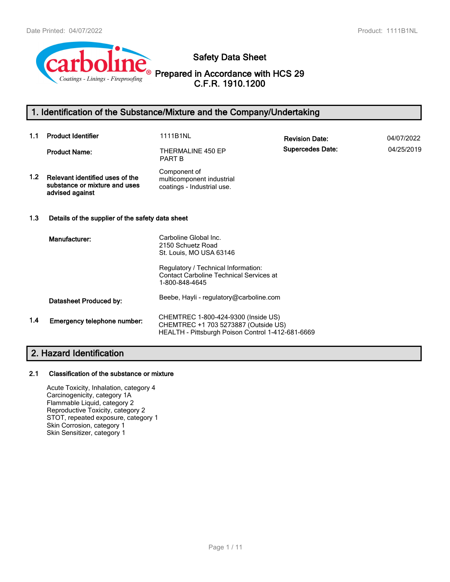

**Safety Data Sheet**

**Prepared in Accordance with HCS 29 C.F.R. 1910.1200**

### **1. Identification of the Substance/Mixture and the Company/Undertaking**

| 1.1 | <b>Product Identifier</b>                                                           | 1111B1NL                                                                                                                         | <b>Revision Date:</b>   | 04/07/2022 |  |
|-----|-------------------------------------------------------------------------------------|----------------------------------------------------------------------------------------------------------------------------------|-------------------------|------------|--|
|     | <b>Product Name:</b>                                                                | THERMALINE 450 EP<br><b>PART B</b>                                                                                               | <b>Supercedes Date:</b> | 04/25/2019 |  |
| 1.2 | Relevant identified uses of the<br>substance or mixture and uses<br>advised against | Component of<br>multicomponent industrial<br>coatings - Industrial use.                                                          |                         |            |  |
| 1.3 | Details of the supplier of the safety data sheet                                    |                                                                                                                                  |                         |            |  |
|     | Manufacturer:                                                                       | Carboline Global Inc.<br>2150 Schuetz Road<br>St. Louis, MO USA 63146                                                            |                         |            |  |
|     |                                                                                     | Regulatory / Technical Information:<br><b>Contact Carboline Technical Services at</b><br>1-800-848-4645                          |                         |            |  |
|     | Datasheet Produced by:                                                              | Beebe, Hayli - regulatory@carboline.com                                                                                          |                         |            |  |
| 1.4 | Emergency telephone number:                                                         | CHEMTREC 1-800-424-9300 (Inside US)<br>CHEMTREC +1 703 5273887 (Outside US)<br>HEALTH - Pittsburgh Poison Control 1-412-681-6669 |                         |            |  |

### **2. Hazard Identification**

#### **2.1 Classification of the substance or mixture**

Acute Toxicity, Inhalation, category 4 Carcinogenicity, category 1A Flammable Liquid, category 2 Reproductive Toxicity, category 2 STOT, repeated exposure, category 1 Skin Corrosion, category 1 Skin Sensitizer, category 1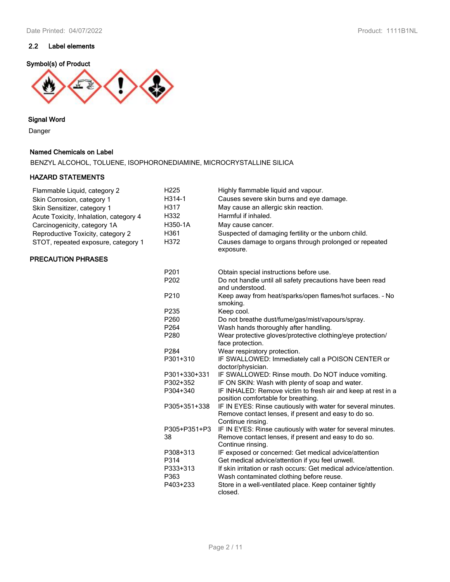### **Symbol(s) of Product**



#### **Signal Word**

Danger

#### **Named Chemicals on Label**

BENZYL ALCOHOL, TOLUENE, ISOPHORONEDIAMINE, MICROCRYSTALLINE SILICA

#### **HAZARD STATEMENTS**

| Flammable Liquid, category 2           | H <sub>225</sub>   | Highly flammable liquid and vapour.                                                                                                       |
|----------------------------------------|--------------------|-------------------------------------------------------------------------------------------------------------------------------------------|
| Skin Corrosion, category 1             | H314-1             | Causes severe skin burns and eye damage.                                                                                                  |
| Skin Sensitizer, category 1            | H317               | May cause an allergic skin reaction.                                                                                                      |
| Acute Toxicity, Inhalation, category 4 | H332               | Harmful if inhaled.                                                                                                                       |
| Carcinogenicity, category 1A           | H350-1A            | May cause cancer.                                                                                                                         |
| Reproductive Toxicity, category 2      | H361               | Suspected of damaging fertility or the unborn child.                                                                                      |
| STOT, repeated exposure, category 1    | H372               | Causes damage to organs through prolonged or repeated<br>exposure.                                                                        |
| <b>PRECAUTION PHRASES</b>              |                    |                                                                                                                                           |
|                                        | P201               | Obtain special instructions before use.                                                                                                   |
|                                        | P202               | Do not handle until all safety precautions have been read<br>and understood.                                                              |
|                                        | P210               | Keep away from heat/sparks/open flames/hot surfaces. - No<br>smoking.                                                                     |
|                                        | P <sub>235</sub>   | Keep cool.                                                                                                                                |
|                                        | P <sub>260</sub>   | Do not breathe dust/fume/gas/mist/vapours/spray.                                                                                          |
|                                        | P264               | Wash hands thoroughly after handling.                                                                                                     |
|                                        | P280               | Wear protective gloves/protective clothing/eye protection/<br>face protection.                                                            |
|                                        | P284               | Wear respiratory protection.                                                                                                              |
|                                        | P301+310           | IF SWALLOWED: Immediately call a POISON CENTER or<br>doctor/physician.                                                                    |
|                                        | P301+330+331       | IF SWALLOWED: Rinse mouth. Do NOT induce vomiting.                                                                                        |
|                                        | P302+352           | IF ON SKIN: Wash with plenty of soap and water.                                                                                           |
|                                        | P304+340           | IF INHALED: Remove victim to fresh air and keep at rest in a<br>position comfortable for breathing.                                       |
|                                        | P305+351+338       | IF IN EYES: Rinse cautiously with water for several minutes.<br>Remove contact lenses, if present and easy to do so.<br>Continue rinsing. |
|                                        | P305+P351+P3<br>38 | IF IN EYES: Rinse cautiously with water for several minutes.<br>Remove contact lenses, if present and easy to do so.<br>Continue rinsing. |
|                                        | P308+313           | IF exposed or concerned: Get medical advice/attention                                                                                     |
|                                        | P314               | Get medical advice/attention if you feel unwell.                                                                                          |
|                                        | P333+313           | If skin irritation or rash occurs: Get medical advice/attention.                                                                          |
|                                        | P363               | Wash contaminated clothing before reuse.                                                                                                  |
|                                        | P403+233           | Store in a well-ventilated place. Keep container tightly<br>closed.                                                                       |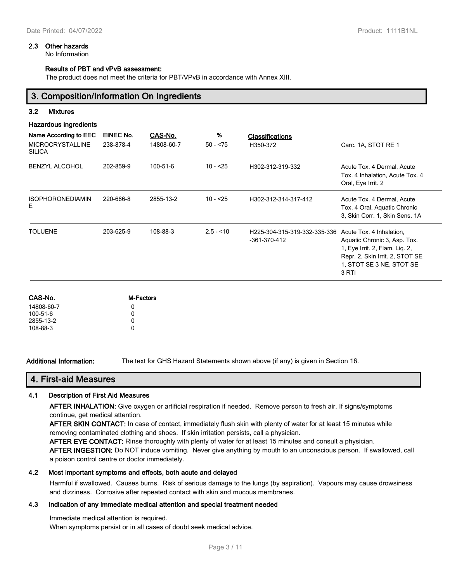#### **2.3 Other hazards**

No Information

#### **Results of PBT and vPvB assessment:**

The product does not meet the criteria for PBT/VPvB in accordance with Annex XIII.

#### **3. Composition/Information On Ingredients**

#### **3.2 Mixtures**

#### **Hazardous ingredients**

| Name According to EEC<br><b>MICROCRYSTALLINE</b><br><b>SILICA</b> | EINEC No.<br>238-878-4 | CAS-No.<br>14808-60-7 | $\underline{\mathcal{H}}$<br>$50 - 75$ | <b>Classifications</b><br>H350-372           | Carc. 1A, STOT RE 1                                                                                                                                                |
|-------------------------------------------------------------------|------------------------|-----------------------|----------------------------------------|----------------------------------------------|--------------------------------------------------------------------------------------------------------------------------------------------------------------------|
| <b>BENZYL ALCOHOL</b>                                             | 202-859-9              | 100-51-6              | $10 - 25$                              | H302-312-319-332                             | Acute Tox. 4 Dermal, Acute<br>Tox. 4 Inhalation, Acute Tox. 4<br>Oral, Eye Irrit. 2                                                                                |
| <b>ISOPHORONEDIAMIN</b><br>E.                                     | 220-666-8              | 2855-13-2             | $10 - 25$                              | H302-312-314-317-412                         | Acute Tox. 4 Dermal, Acute<br>Tox. 4 Oral, Aquatic Chronic<br>3. Skin Corr. 1, Skin Sens. 1A                                                                       |
| <b>TOLUENE</b>                                                    | 203-625-9              | 108-88-3              | $2.5 - 10$                             | H225-304-315-319-332-335-336<br>-361-370-412 | Acute Tox. 4 Inhalation,<br>Aquatic Chronic 3, Asp. Tox.<br>1, Eye Irrit. 2, Flam. Lig. 2,<br>Repr. 2, Skin Irrit. 2, STOT SE<br>1, STOT SE 3 NE, STOT SE<br>3 RTI |

| CAS-No.        | <b>M-Factors</b> |
|----------------|------------------|
| 14808-60-7     | n                |
| $100 - 51 - 6$ | n                |
| 2855-13-2      | n                |
| 108-88-3       | n                |
|                |                  |

**Additional Information:** The text for GHS Hazard Statements shown above (if any) is given in Section 16.

## **4. First-aid Measures**

#### **4.1 Description of First Aid Measures**

**AFTER INHALATION:** Give oxygen or artificial respiration if needed. Remove person to fresh air. If signs/symptoms continue, get medical attention.

**AFTER SKIN CONTACT:** In case of contact, immediately flush skin with plenty of water for at least 15 minutes while removing contaminated clothing and shoes. If skin irritation persists, call a physician.

**AFTER EYE CONTACT:** Rinse thoroughly with plenty of water for at least 15 minutes and consult a physician.

**AFTER INGESTION:** Do NOT induce vomiting. Never give anything by mouth to an unconscious person. If swallowed, call a poison control centre or doctor immediately.

#### **4.2 Most important symptoms and effects, both acute and delayed**

Harmful if swallowed. Causes burns. Risk of serious damage to the lungs (by aspiration). Vapours may cause drowsiness and dizziness. Corrosive after repeated contact with skin and mucous membranes.

#### **4.3 Indication of any immediate medical attention and special treatment needed**

Immediate medical attention is required.

When symptoms persist or in all cases of doubt seek medical advice.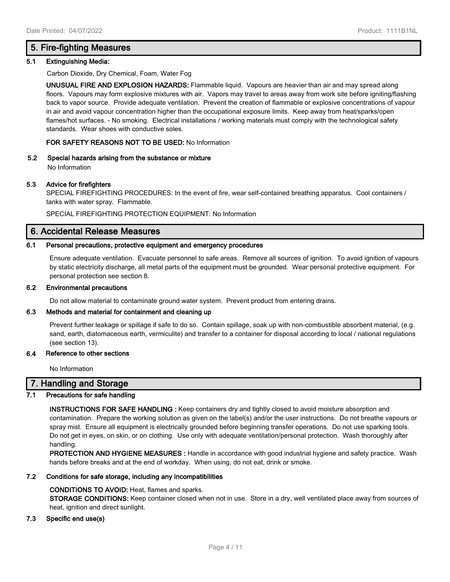### **5. Fire-fighting Measures**

#### **5.1 Extinguishing Media:**

Carbon Dioxide, Dry Chemical, Foam, Water Fog

**UNUSUAL FIRE AND EXPLOSION HAZARDS:** Flammable liquid. Vapours are heavier than air and may spread along floors. Vapours may form explosive mixtures with air. Vapors may travel to areas away from work site before igniting/flashing back to vapor source. Provide adequate ventilation. Prevent the creation of flammable or explosive concentrations of vapour in air and avoid vapour concentration higher than the occupational exposure limits. Keep away from heat/sparks/open flames/hot surfaces. - No smoking. Electrical installations / working materials must comply with the technological safety standards. Wear shoes with conductive soles.

#### **FOR SAFETY REASONS NOT TO BE USED:** No Information

**5.2 Special hazards arising from the substance or mixture**

No Information

#### **5.3 Advice for firefighters**

SPECIAL FIREFIGHTING PROCEDURES: In the event of fire, wear self-contained breathing apparatus. Cool containers / tanks with water spray. Flammable.

SPECIAL FIREFIGHTING PROTECTION EQUIPMENT: No Information

#### **6. Accidental Release Measures**

#### **6.1 Personal precautions, protective equipment and emergency procedures**

Ensure adequate ventilation. Evacuate personnel to safe areas. Remove all sources of ignition. To avoid ignition of vapours by static electricity discharge, all metal parts of the equipment must be grounded. Wear personal protective equipment. For personal protection see section 8.

#### **6.2 Environmental precautions**

Do not allow material to contaminate ground water system. Prevent product from entering drains.

#### **6.3 Methods and material for containment and cleaning up**

Prevent further leakage or spillage if safe to do so. Contain spillage, soak up with non-combustible absorbent material, (e.g. sand, earth, diatomaceous earth, vermiculite) and transfer to a container for disposal according to local / national regulations (see section 13).

#### **6.4 Reference to other sections**

No Information

### **7. Handling and Storage**

#### **7.1 Precautions for safe handling**

**INSTRUCTIONS FOR SAFE HANDLING :** Keep containers dry and tightly closed to avoid moisture absorption and contamination. Prepare the working solution as given on the label(s) and/or the user instructions. Do not breathe vapours or spray mist. Ensure all equipment is electrically grounded before beginning transfer operations. Do not use sparking tools. Do not get in eyes, on skin, or on clothing. Use only with adequate ventilation/personal protection. Wash thoroughly after handling.

**PROTECTION AND HYGIENE MEASURES :** Handle in accordance with good industrial hygiene and safety practice. Wash hands before breaks and at the end of workday. When using, do not eat, drink or smoke.

#### **7.2 Conditions for safe storage, including any incompatibilities**

#### **CONDITIONS TO AVOID:** Heat, flames and sparks.

**STORAGE CONDITIONS:** Keep container closed when not in use. Store in a dry, well ventilated place away from sources of heat, ignition and direct sunlight.

#### **7.3 Specific end use(s)**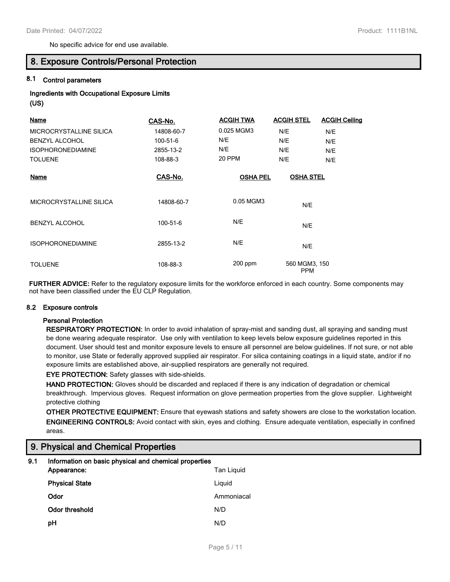No specific advice for end use available.

#### **8. Exposure Controls/Personal Protection**

#### **8.1 Control parameters**

#### **Ingredients with Occupational Exposure Limits (US)**

| Name                     | CAS-No.    | <b>ACGIH TWA</b> | <b>ACGIH STEL</b>           | <b>ACGIH Ceiling</b> |
|--------------------------|------------|------------------|-----------------------------|----------------------|
| MICROCRYSTALLINE SILICA  | 14808-60-7 | 0.025 MGM3       | N/E                         | N/E                  |
| <b>BENZYL ALCOHOL</b>    | 100-51-6   | N/E              | N/E                         | N/E                  |
| <b>ISOPHORONEDIAMINE</b> | 2855-13-2  | N/E              | N/E                         | N/E                  |
| <b>TOLUENE</b>           | 108-88-3   | 20 PPM           | N/E                         | N/E                  |
| <u>Name</u>              | CAS-No.    | <b>OSHA PEL</b>  | <b>OSHA STEL</b>            |                      |
| MICROCRYSTALLINE SILICA  | 14808-60-7 | 0.05 MGM3        | N/E                         |                      |
| <b>BENZYL ALCOHOL</b>    | 100-51-6   | N/E              | N/E                         |                      |
| <b>ISOPHORONEDIAMINE</b> | 2855-13-2  | N/E              | N/E                         |                      |
| <b>TOLUENE</b>           | 108-88-3   | $200$ ppm        | 560 MGM3, 150<br><b>PPM</b> |                      |

**FURTHER ADVICE:** Refer to the regulatory exposure limits for the workforce enforced in each country. Some components may not have been classified under the EU CLP Regulation.

#### **8.2 Exposure controls**

#### **Personal Protection**

**RESPIRATORY PROTECTION:** In order to avoid inhalation of spray-mist and sanding dust, all spraying and sanding must be done wearing adequate respirator. Use only with ventilation to keep levels below exposure guidelines reported in this document. User should test and monitor exposure levels to ensure all personnel are below guidelines. If not sure, or not able to monitor, use State or federally approved supplied air respirator. For silica containing coatings in a liquid state, and/or if no exposure limits are established above, air-supplied respirators are generally not required.

#### **EYE PROTECTION:** Safety glasses with side-shields.

**HAND PROTECTION:** Gloves should be discarded and replaced if there is any indication of degradation or chemical breakthrough. Impervious gloves. Request information on glove permeation properties from the glove supplier. Lightweight protective clothing

**OTHER PROTECTIVE EQUIPMENT:** Ensure that eyewash stations and safety showers are close to the workstation location. **ENGINEERING CONTROLS:** Avoid contact with skin, eyes and clothing. Ensure adequate ventilation, especially in confined areas.

### **9. Physical and Chemical Properties**

#### **9.1 Information on basic physical and chemical properties Appearance:** Tan Liquid

| <b>Physical State</b> | Liquid     |
|-----------------------|------------|
| Odor                  | Ammoniacal |
| Odor threshold        | N/D        |
| рH                    | N/D        |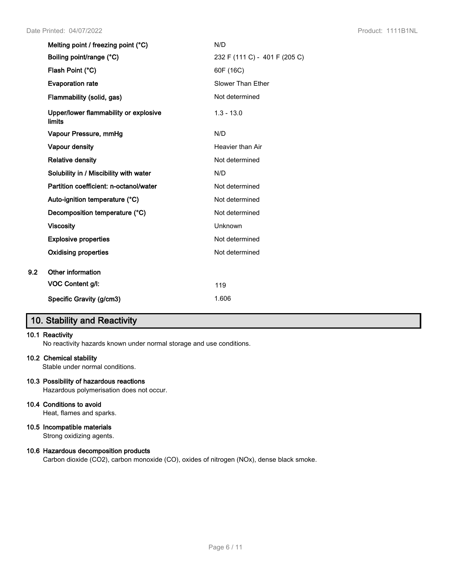| N/D                           |
|-------------------------------|
| 232 F (111 C) - 401 F (205 C) |
| 60F (16C)                     |
| Slower Than Ether             |
| Not determined                |
| $1.3 - 13.0$                  |
| N/D                           |
| Heavier than Air              |
| Not determined                |
| N/D                           |
| Not determined                |
| Not determined                |
| Not determined                |
| Unknown                       |
| Not determined                |
| Not determined                |
|                               |
| 119                           |
| 1.606                         |
|                               |

### **10. Stability and Reactivity**

#### **10.1 Reactivity**

No reactivity hazards known under normal storage and use conditions.

#### **10.2 Chemical stability**

Stable under normal conditions.

#### **10.3 Possibility of hazardous reactions**

Hazardous polymerisation does not occur.

#### **10.4 Conditions to avoid**

Heat, flames and sparks.

#### **10.5 Incompatible materials**

Strong oxidizing agents.

#### **10.6 Hazardous decomposition products**

Carbon dioxide (CO2), carbon monoxide (CO), oxides of nitrogen (NOx), dense black smoke.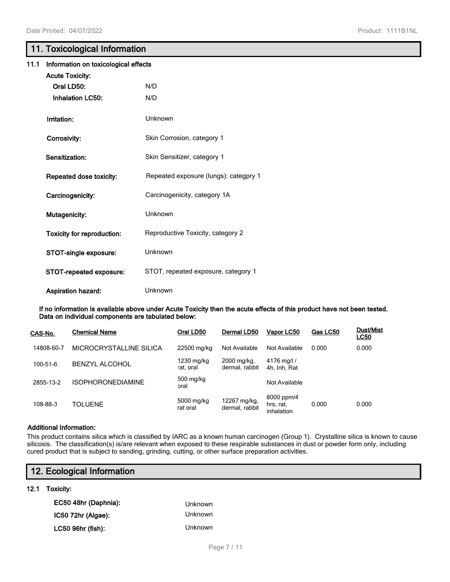### **11. Toxicological Information**

| 11.1 | Information on toxicological effects |                                       |  |  |
|------|--------------------------------------|---------------------------------------|--|--|
|      | <b>Acute Toxicity:</b>               |                                       |  |  |
|      | Oral LD50:                           | N/D                                   |  |  |
|      | <b>Inhalation LC50:</b>              | N/D                                   |  |  |
|      | Irritation:                          | Unknown                               |  |  |
|      | Corrosivity:                         | Skin Corrosion, category 1            |  |  |
|      | Sensitization:                       | Skin Sensitizer, category 1           |  |  |
|      | Repeated dose toxicity:              | Repeated exposure (lungs): categpry 1 |  |  |
|      | Carcinogenicity:                     | Carcinogenicity, category 1A          |  |  |
|      | Mutagenicity:                        | Unknown                               |  |  |
|      | <b>Toxicity for reproduction:</b>    | Reproductive Toxicity, category 2     |  |  |
|      | STOT-single exposure:                | Unknown                               |  |  |
|      | STOT-repeated exposure:              | STOT, repeated exposure, category 1   |  |  |
|      | <b>Aspiration hazard:</b>            | Unknown                               |  |  |

**If no information is available above under Acute Toxicity then the acute effects of this product have not been tested. Data on individual components are tabulated below:**

| CAS-No.    | <b>Chemical Name</b>     | Oral LD50               | Dermal LD50                    | Vapor LC50                            | Gas LC50 | <b>Dust/Mist</b><br><u>LC50</u> |
|------------|--------------------------|-------------------------|--------------------------------|---------------------------------------|----------|---------------------------------|
| 14808-60-7 | MICROCRYSTALLINE SILICA  | 22500 mg/kg             | Not Available                  | Not Available                         | 0.000    | 0.000                           |
| 100-51-6   | <b>BENZYL ALCOHOL</b>    | 1230 mg/kg<br>rat. oral | 2000 mg/kg,<br>dermal, rabbit  | 4176 mg/l /<br>4h, Inh, Rat           |          |                                 |
| 2855-13-2  | <b>ISOPHORONEDIAMINE</b> | 500 mg/kg<br>oral       |                                | Not Available                         |          |                                 |
| 108-88-3   | <b>TOLUENE</b>           | 5000 mg/kg<br>rat oral  | 12267 mg/kg,<br>dermal, rabbit | 8000 ppm/4<br>hrs, rat,<br>inhalation | 0.000    | 0.000                           |

#### **Additional Information:**

This product contains silica which is classified by IARC as a known human carcinogen (Group 1). Crystalline silica is known to cause silicosis. The classification(s) is/are relevant when exposed to these respirable substances in dust or powder form only, including cured product that is subject to sanding, grinding, cutting, or other surface preparation activities.

| 12. Ecological Information |         |  |
|----------------------------|---------|--|
| 12.1<br>Toxicity:          |         |  |
| EC50 48hr (Daphnia):       | Unknown |  |
| IC50 72hr (Algae):         | Unknown |  |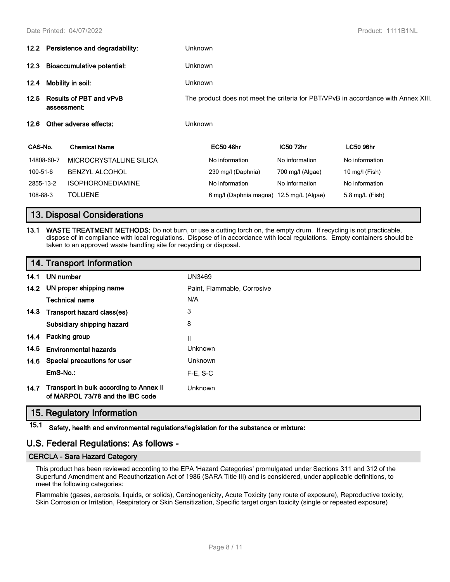|                  | 12.2 Persistence and degradability:           |                          | <b>Unknown</b>                                                                     |                                          |                  |                  |  |
|------------------|-----------------------------------------------|--------------------------|------------------------------------------------------------------------------------|------------------------------------------|------------------|------------------|--|
| 12.3             | Bioaccumulative potential:                    |                          | <b>Unknown</b>                                                                     |                                          |                  |                  |  |
| 12.4             | Mobility in soil:                             |                          | <b>Unknown</b>                                                                     |                                          |                  |                  |  |
| 12.5             | <b>Results of PBT and vPvB</b><br>assessment: |                          | The product does not meet the criteria for PBT/VPvB in accordance with Annex XIII. |                                          |                  |                  |  |
| 12.6             | Other adverse effects:                        |                          |                                                                                    | <b>Unknown</b>                           |                  |                  |  |
| CAS-No.          |                                               | <b>Chemical Name</b>     |                                                                                    | <b>EC50 48hr</b>                         | IC50 72hr        | <b>LC50 96hr</b> |  |
|                  | 14808-60-7                                    | MICROCRYSTALLINE SILICA  |                                                                                    | No information                           | No information   | No information   |  |
| 100-51-6         |                                               | <b>BENZYL ALCOHOL</b>    |                                                                                    | 230 mg/l (Daphnia)                       | 700 mg/l (Algae) | 10 mg/l (Fish)   |  |
| 2855-13-2        |                                               | <b>ISOPHORONEDIAMINE</b> |                                                                                    | No information                           | No information   | No information   |  |
| 108-88-3         |                                               | <b>TOLUENE</b>           |                                                                                    | 6 mg/l (Daphnia magna) 12.5 mg/L (Algae) |                  | 5.8 mg/L (Fish)  |  |
| <b>The State</b> |                                               |                          |                                                                                    |                                          |                  |                  |  |

### **13. Disposal Considerations**

**13.1 WASTE TREATMENT METHODS:** Do not burn, or use a cutting torch on, the empty drum. If recycling is not practicable, dispose of in compliance with local regulations. Dispose of in accordance with local regulations. Empty containers should be taken to an approved waste handling site for recycling or disposal.

### **14. Transport Information**

| 14.1 | UN number                                                                   | <b>UN3469</b>               |
|------|-----------------------------------------------------------------------------|-----------------------------|
|      | 14.2 UN proper shipping name                                                | Paint, Flammable, Corrosive |
|      | <b>Technical name</b>                                                       | N/A                         |
| 14.3 | Transport hazard class(es)                                                  | 3                           |
|      | Subsidiary shipping hazard                                                  | 8                           |
| 14.4 | Packing group                                                               | $\mathsf{I}$                |
| 14.5 | <b>Environmental hazards</b>                                                | Unknown                     |
| 14.6 | Special precautions for user                                                | Unknown                     |
|      | $EmS-No.$ :                                                                 | $F-E. S-C$                  |
| 14.7 | Transport in bulk according to Annex II<br>of MARPOL 73/78 and the IBC code | Unknown                     |

### **15. Regulatory Information**

**15.1 Safety, health and environmental regulations/legislation for the substance or mixture:**

### **U.S. Federal Regulations: As follows -**

### **CERCLA - Sara Hazard Category**

This product has been reviewed according to the EPA 'Hazard Categories' promulgated under Sections 311 and 312 of the Superfund Amendment and Reauthorization Act of 1986 (SARA Title III) and is considered, under applicable definitions, to meet the following categories:

Flammable (gases, aerosols, liquids, or solids), Carcinogenicity, Acute Toxicity (any route of exposure), Reproductive toxicity, Skin Corrosion or Irritation, Respiratory or Skin Sensitization, Specific target organ toxicity (single or repeated exposure)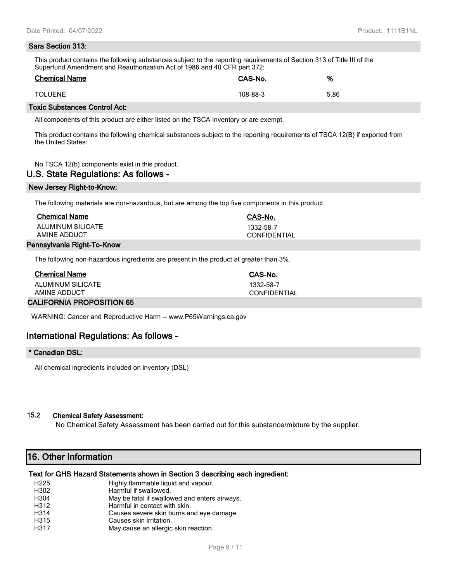# **Sara Section 313:**

This product contains the following substances subject to the reporting requirements of Section 313 of Title III of the Superfund Amendment and Reauthorization Act of 1986 and 40 CFR part 372:

| <b>Chemical Name</b> | <b>CAS-No.</b> | <u>%</u> |
|----------------------|----------------|----------|
| <b>TOLUENE</b>       | 108-88-3       | 5.86     |

#### **Toxic Substances Control Act:**

All components of this product are either listed on the TSCA Inventory or are exempt.

This product contains the following chemical substances subject to the reporting requirements of TSCA 12(B) if exported from the United States:

No TSCA 12(b) components exist in this product.

#### **U.S. State Regulations: As follows -**

#### **New Jersey Right-to-Know:**

The following materials are non-hazardous, but are among the top five components in this product.

| <b>Chemical Name</b>       | CAS-No.             |
|----------------------------|---------------------|
| ALUMINUM SILICATE          | 1332-58-7           |
| AMINE ADDUCT               | <b>CONFIDENTIAL</b> |
| Pennsylvania Right-To-Know |                     |

The following non-hazardous ingredients are present in the product at greater than 3%.

| <b>Chemical Name</b>             | CAS-No.      |
|----------------------------------|--------------|
| ALUMINUM SILICATE                | 1332-58-7    |
| AMINE ADDUCT                     | CONFIDENTIAL |
| <b>CALIFORNIA PROPOSITION 65</b> |              |

WARNING: Cancer and Reproductive Harm -- www.P65Warnings.ca.gov

### **International Regulations: As follows -**

#### **\* Canadian DSL:**

All chemical ingredients included on inventory (DSL)

#### **15.2 Chemical Safety Assessment:**

No Chemical Safety Assessment has been carried out for this substance/mixture by the supplier.

### **16. Other Information**

#### **Text for GHS Hazard Statements shown in Section 3 describing each ingredient:**

| H <sub>225</sub> | Highly flammable liquid and vapour.           |
|------------------|-----------------------------------------------|
| H302             | Harmful if swallowed.                         |
| H304             | May be fatal if swallowed and enters airways. |
| H312             | Harmful in contact with skin.                 |
| H314             | Causes severe skin burns and eye damage.      |
| H315             | Causes skin irritation.                       |
| H317             | May cause an allergic skin reaction.          |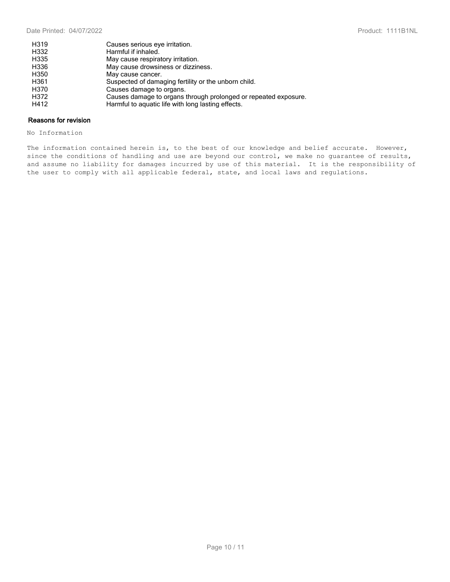| H319 | Causes serious eye irritation.                                  |
|------|-----------------------------------------------------------------|
| H332 | Harmful if inhaled.                                             |
| H335 | May cause respiratory irritation.                               |
| H336 | May cause drowsiness or dizziness.                              |
| H350 | May cause cancer.                                               |
| H361 | Suspected of damaging fertility or the unborn child.            |
| H370 | Causes damage to organs.                                        |
| H372 | Causes damage to organs through prolonged or repeated exposure. |
| H412 | Harmful to aquatic life with long lasting effects.              |

#### **Reasons for revision**

No Information

The information contained herein is, to the best of our knowledge and belief accurate. However, since the conditions of handling and use are beyond our control, we make no guarantee of results, and assume no liability for damages incurred by use of this material. It is the responsibility of the user to comply with all applicable federal, state, and local laws and regulations.